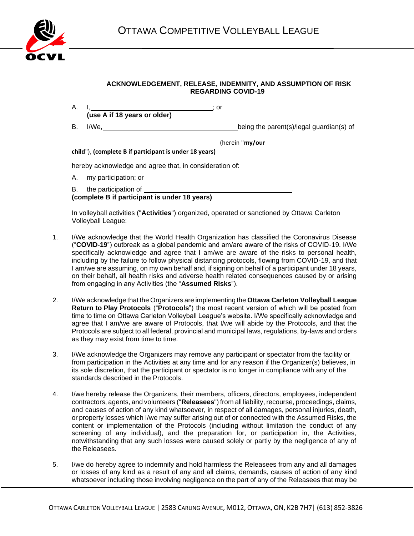

## **ACKNOWLEDGEMENT, RELEASE, INDEMNITY, AND ASSUMPTION OF RISK REGARDING COVID-19**

- A. I<u>, ; and its set of the set of the set of the set of the set of the set of the set of the set of the set of the set of the set of the set of the set of the set of the set of the set of the set of the set of the set of </u> **(use A if 18 years or older)**
- B. I/We, being the parent(s)/legal guardian(s) of

(herein "**my/our** 

## **child**"), **(complete B if participant is under 18 years)**

hereby acknowledge and agree that, in consideration of:

A. my participation; or

B. the participation of **(complete B if participant is under 18 years)**

In volleyball activities ("**Activities**") organized, operated or sanctioned by Ottawa Carleton Volleyball League:

- 1. I/We acknowledge that the World Health Organization has classified the Coronavirus Disease ("**COVID-19**") outbreak as a global pandemic and am/are aware of the risks of COVID-19. I/We specifically acknowledge and agree that I am/we are aware of the risks to personal health, including by the failure to follow physical distancing protocols, flowing from COVID-19, and that I am/we are assuming, on my own behalf and, if signing on behalf of a participant under 18 years, on their behalf, all health risks and adverse health related consequences caused by or arising from engaging in any Activities (the "**Assumed Risks**").
- 2. I/We acknowledge that the Organizers are implementing the **Ottawa Carleton Volleyball League Return to Play Protocols** ("**Protocols**") the most recent version of which will be posted from time to time on Ottawa Carleton Volleyball League's website. I/We specifically acknowledge and agree that I am/we are aware of Protocols, that I/we will abide by the Protocols, and that the Protocols are subject to all federal, provincial and municipal laws, regulations, by-laws and orders as they may exist from time to time.
- 3. I/We acknowledge the Organizers may remove any participant or spectator from the facility or from participation in the Activities at any time and for any reason if the Organizer(s) believes, in its sole discretion, that the participant or spectator is no longer in compliance with any of the standards described in the Protocols.
- 4. I/we hereby release the Organizers, their members, officers, directors, employees, independent contractors, agents, and volunteers ("**Releasees**") from all liability, recourse, proceedings, claims, and causes of action of any kind whatsoever, in respect of all damages, personal injuries, death, or property losses which I/we may suffer arising out of or connected with the Assumed Risks, the content or implementation of the Protocols (including without limitation the conduct of any screening of any individual), and the preparation for, or participation in, the Activities, notwithstanding that any such losses were caused solely or partly by the negligence of any of the Releasees.
- 5. I/we do hereby agree to indemnify and hold harmless the Releasees from any and all damages or losses of any kind as a result of any and all claims, demands, causes of action of any kind whatsoever including those involving negligence on the part of any of the Releasees that may be